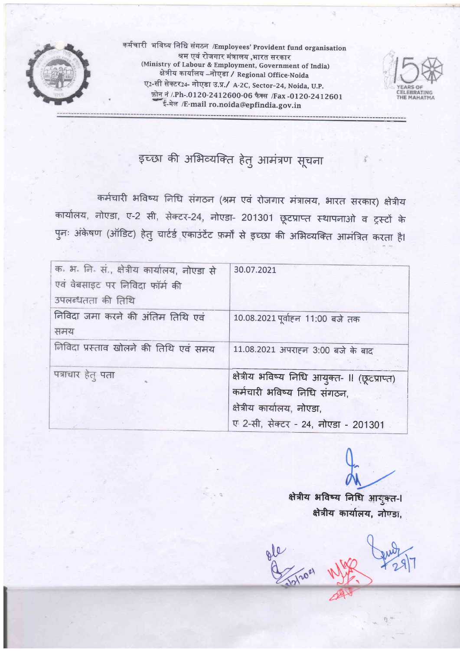

कर्मचारी भविष्य निधि संगठन /Employees' Provident fund organisation श्रम एवं रोजगार मंत्रालय ,भारत सरकार (Ministry of Labour & Employment, Government of India) ⊶,<br>क्षेत्रीय कार्यालय –नोएडा / Regional Office-Noida ए2-सी सेक्टर24- नोएडा उ.प./ A-2C, Sector-24, Noida, U.P. फ़ोन नं /.Ph-.0120-2412600-06 फैक्स /Fax -0120-2412601 ई-मेल /E-mail ro.noida@epfindia.gov.in



इच्छा की अभिव्यक्ति हेतु आमंत्रण सूचना

कर्मचारी भविष्य निधि संगठन (श्रम एवं रोजगार मंत्रालय, भारत सरकार) क्षेत्रीय कार्यालय, नोएडा, ए-2 सी, सेक्टर-24, नोएडा- 201301 छूटप्राप्त स्थापनाओ व ट्रस्टों के पुनः अंकेषण (ऑडिट) हेतु चार्टर्ड एकाउंटेंट फ़र्मों से इच्छा की अभिव्यक्ति आमंत्रित करता है।

| क. भ. नि. सं., क्षेत्रीय कार्यालय, नोएडा से<br>एवं वेबसाइट पर निविदा फॉर्म की | 30.07.2021                                                                                                                                       |
|-------------------------------------------------------------------------------|--------------------------------------------------------------------------------------------------------------------------------------------------|
| उपलब्धतता की तिथि                                                             |                                                                                                                                                  |
| निविदा जमा करने की अंतिम तिथि एवं<br>समय                                      | 10.08.2021 पूर्वाहन 11:00 बजे तक                                                                                                                 |
| निविदा प्रस्ताव खोलने की तिथि एवं समय                                         | 11.08.2021 अपराहन 3:00 बजे के बाद                                                                                                                |
| पत्राचार हेतु पता                                                             | क्षेत्रीय भविष्य निधि आयुक्त- ॥ (छूटप्राप्त)<br>कर्मचारी भविष्य निधि संगठन,<br>क्षेत्रीय कार्यालय, नोएडा,<br>ए 2-सी, सेक्टर - 24, नोएडा - 201301 |

क्षेत्रीय भविष्य निधि आयुक्त-। क्षेत्रीय कार्यालय, नोण्डा,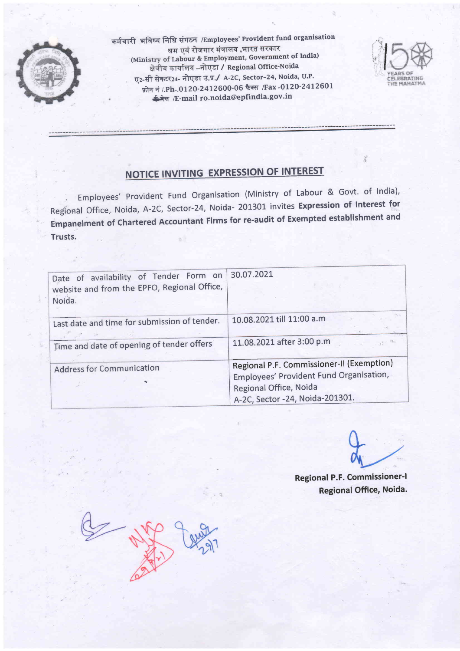

कर्मचारी भविष्य निधि संगठन /ɛmployees' Provident fund organisation<br>श्रम एवं रोजगार मंत्रालय ,भारत सरकार (Ministry of Labour & Employment, Government of India) क्षेत्रीय कार्यालय -- नोएडा / Regional Office-Noida ए2-सी सेक्टर24- नोएडा उ.प./ A-2C, Sector-24, Noida, U.P. फ़ोन नं /.Ph-.0120-2412600-06 फैक्स /Fax -0120-2412601 <del>ई मेल</del> /E-mail ro.noida@epfindia.gov.in



# NOTICE INVITING EXPRESSION OF INTEREST

Employees' Provident Fund Organisation (Ministry of Labour & Govt. of India), Regional office, Noida, A-2c, sector-24, Noida- 201301 invites Expression of Interest for Empanelment of chartered Accountant Firms for re-audit of Exempted establishment and Trusts.

| Date of availability of Tender Form on<br>website and from the EPFO, Regional Office,<br>Noida. | 30.07.2021                                                                                                                                        |
|-------------------------------------------------------------------------------------------------|---------------------------------------------------------------------------------------------------------------------------------------------------|
| Last date and time for submission of tender.                                                    | 10.08.2021 till 11:00 a.m                                                                                                                         |
| Time and date of opening of tender offers                                                       | 11.08.2021 after 3:00 p.m                                                                                                                         |
| <b>Address for Communication</b>                                                                | Regional P.F. Commissioner-II (Exemption)<br>Employees' Provident Fund Organisation,<br>Regional Office, Noida<br>A-2C, Sector -24, Noida-201301. |

Regional P.F. Commissioner-l Regional Office, Noida.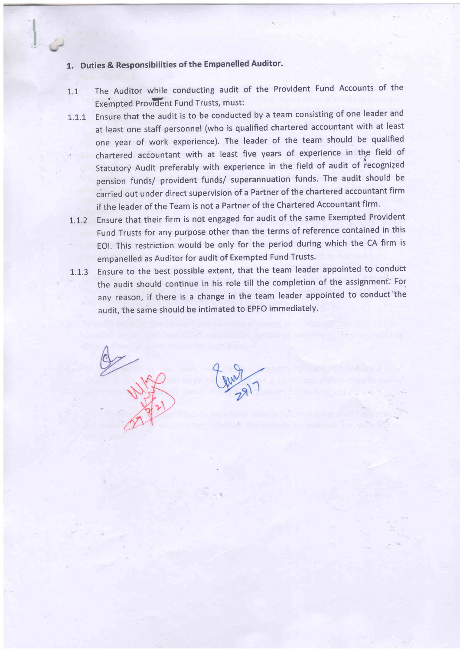# 1. Duties & Responsibilities of the Empanelled Auditor.

- 1.1 The Auditor while conducting audit of the Provident Fund Accounts of the **Exempted Provident Fund Trusts, must:**
- 1.1.1 Ensure that the audit is to be conducted by a team consisting of one leader and at least one staff personnel (who is qualified chartered accountant with at least one year of work experience). The leader of the team should be qualified chartered accountant with at least five years of experience in the field of Statutory Audit preferably with experience in the field of audit of recognized pension funds/ provident funds/ superannuation funds. The audit should be carried out under direct supervision of a Partner of the chartered accountant firm if the leader of the Team is not a Partner of the Chartered Accountant firm.
- L.L.2 Ensure that their firm is not engaged for audit of the same Exempted Provident Fund Trusts for any purpose other than the terms of reference contained in this EOl. This restriction would be only for the period during which the CA firm is empanelled as Auditor for audit of Exempted Fund Trusts.
- 1.1.3 Ensure to the best possible extent, that the team leader appointed to conduct the audit should continue in his role till the completion of the assignment; For any reason, if there is a change in the team leader appointed to conduct the audit, the same should be intimated to EPFO immediately.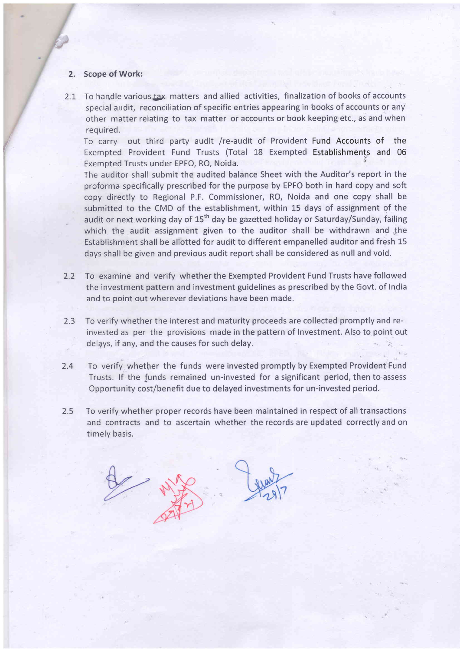### 2. Scope of Work:

U

/  $\sqrt{2}$ 

2.1 To handle various tax matters and allied activities, finalization of books of accounts special audit, reconciliation of specific entries appearing in books of accounts or any other matter relating to tax matter or accounts or book keeping etc., as and when required.

To carry out third party audit /re-audit of Provident Fund Accounts of the Exempted Provident Fund Trusts (Total 18 Exempted Establishments and 06 Exempted Trusts under EPFO, RO, Noida.

The auditor shall submit the audited balance Sheet with the Auditor's report in the proforma specifically prescribed for the purpose by EPFO both in hard copy and soft copy directly to Regional P.F. Commissioner, RO, Noida and one copy shall be submitted to the CMD of the establishment, within 15 days of assignment of the audit or next working day of  $15<sup>th</sup>$  day be gazetted holiday or Saturday/Sunday, failing which the audit assignment given to the auditor shall be withdrawn and the Establishment shall be allotted for audit to different empanelled auditor and fresh 15 days shall be given and previous audit report shall be considered as null and void.

- To examine and verify whether the Exempted Provident Fund Trusts have followed the investment pattern and investment guidelines as prescribed by the Govt. of India and to point out wherever deviations have been made. 2.2
- To verify whether the interest and maturity proceeds are collected promptly and reinvested as per the provisions made in the pattern of Investment. Also to point out delays, if any, and the causes for such delay. 2,3
- To verify whether the funds were invested promptly by Exempted Provident Fund Trusts. lf the funds remained un-invested for a significant period, then to assess Cpportunity cost/benefit due to delayed investments for un-invested period. 2.4
- To verify whether proper records have been maintained in respect of all transactions and contracts and to ascertain whether the records are updated correctly and on timely basis. 2.5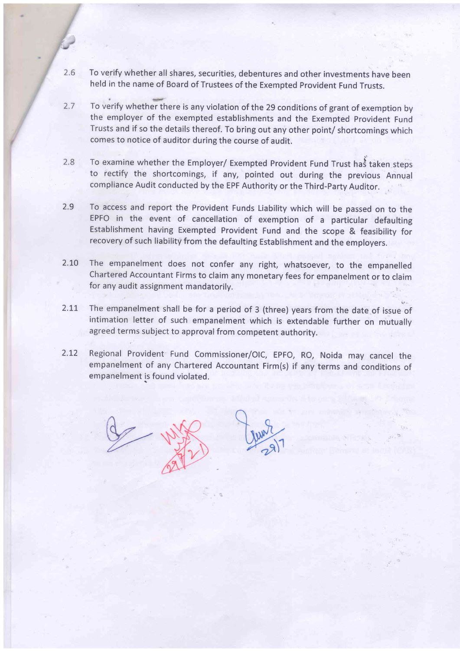- $2.6$ To verify whether all shares, securities, debentures and other investments have been held in the name of Board of Trustees of the Exempted Provident Fund Trusts.
- To verify whether there is any violation of the 29 conditions of grant of exemption by  $2.7$ the employer of the exempted establishments and the Exempted provident Fund Trusts and if so the details thereof. To bring out any other point/ shortcomings which comes to notice of auditor during the course of audit.
- $2.8$ To examine whether the Employer/ Exempted Provident Fund Trust has taken steps<br>to rectify the shortcomings if any pointed out during the previous Appua to rectify the shortcomings, if any, pointed out during the previous Annual compliance Audit conducted by the EPF Authority or the Third-Party Auditor. , ',
- 2.9 To access and report the Provident Funds Liability which will be passed on to the EPFO in the event of cancellation of exemption of a particular defaulting Establishment having Exempted Provident Fund and the scope & feasibility for recovery of such liability from the defaulting Establishment and the employers.
- 2.to The empanelment does not confer any right, whatsoever, to the empanelled Chartered Accountant Firms to claim any monetary fees for empanelment or to claim for any audit assignment mandatorily.
- 2.11 The empanelment shall be for a period of 3 (three) years from the date of issue of intimation letter of such empanelment which is extendable further on mutually agreed terrns subject to approval from competent authority.
- 2.12 Regional Provident Fund Commissioner/OIC, EPFO, RO, Noida may cancel the empanelment of any Chartered Accountant Firm(s) if any terms and conditions of empanelment is found violated.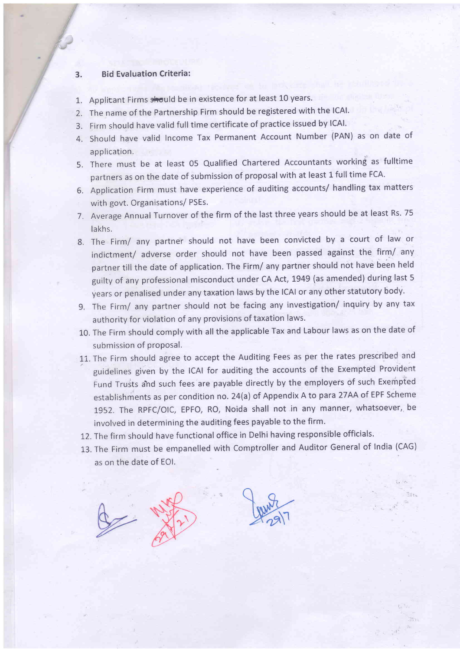### 3. Bid Evaluation Criteria:

/

/  $f$ 

- 1. Applicant Firms should be in existence for at least 10 years.
- Z. The name of the Partnership Firm should be registered with the lCAl.
- 3. Firm should have valid full time certificate of practice issued by lCAl.
- 4. Should have valid Income Tax Permanent Account Number (PAN) as on date of application.
- 5. There must be at least 05 Qualified Chartered Accountants working as fulltime partners as on the date of submission of proposal with at least 1 full time FCA.
- 6. Application Firm must have experience of auditing accounts/ handling tax matters with govt. Organisations/ PSEs.
- 7. Average Annual Turnover of the firm of the last three years should be at least Rs. 75 lakhs.
- 8. The Firm/ any partner should not have been convicted by a court of law or indictment/ adverse order should not have been passed against the firm/ any partner till the date of application. The Firm/ any partner should not have been held guilty of any professional misconduct under CA Act, t949 (as amended) during last <sup>5</sup> years or penalised under any taxation laws by the lCAl or any other statutory body.
- 9. The Firm/ any partner should not be facing any investigation/ inquiry by any tax authority for violation of any provisions of taxation laws.
- 10. The Firm should comply with all the applicable Tax and Labour laws as on the date of submission of proposal.
- 11. The Firm should agree to accept the Auditing Fees as per the rates prescribed and guidelines given by the lCAl for auditing the accounts of the Exempted Provident Fund Trusts and such fees are payable directly by the employers of such Exempted establishments as per condition no. 24(a) of Appendix A to para 27AA of EPF Scheme 1952. The RPFC/OIC, EPFO, RO, Noida shall not in any manner, whatsoever, be involved in determining the auditing fees payable to the firm.
- 12. The firm should have functional office in Delhi having responsible officials.
- 13. The Firm must be empanelled with Comptroller and Auditor General of India (CAG) as on the date of EOl.

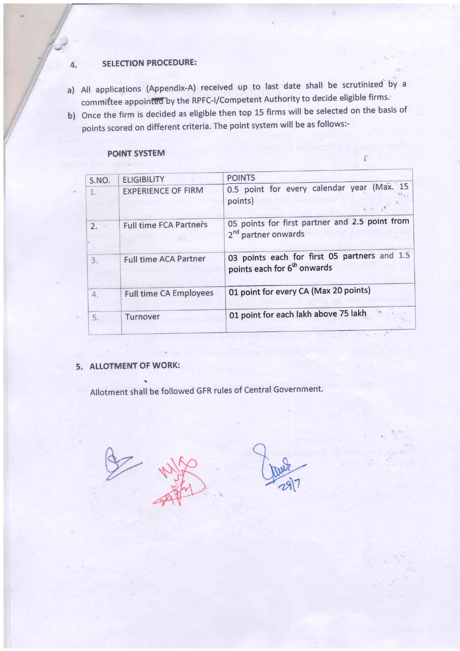#### **SELECTION PROCEDURE:**  $\overline{4}$ .

- a) All applications (Appendix-A) received up to last date shall be scrutinized by a committee appointed by the RPFC-I/Competent Authority to decide eligible firms.
- b) Once the firm is decided as eligible then top 15 firms will be selected on the basis of points scored on different criteria. The point system will be as follows:-

### **POINT SYSTEM**

| S.NO. | <b>ELIGIBILITY</b>            | <b>POINTS</b>                                                                           |
|-------|-------------------------------|-----------------------------------------------------------------------------------------|
|       | <b>EXPERIENCE OF FIRM</b>     | 0.5 point for every calendar year (Max. 15<br>points)                                   |
| 2.    | <b>Full time FCA Partners</b> | 05 points for first partner and 2.5 point from<br>2 <sup>nd</sup> partner onwards       |
| 3.    | <b>Full time ACA Partner</b>  | 03 points each for first 05 partners and 1.5<br>points each for 6 <sup>th</sup> onwards |
| 4.    | <b>Full time CA Employees</b> | 01 point for every CA (Max 20 points)                                                   |
| 5.    | Turnover                      | $^{\circ}$ in<br>01 point for each lakh above 75 lakh                                   |

 $\mathbf{r}$ 

## 5. ALLOTMENT OF WORK:

Allotment shall be followed GFR rules of Central Government.